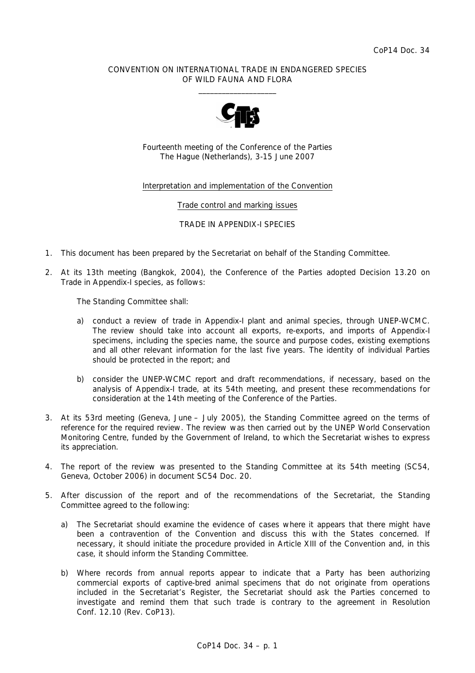## CONVENTION ON INTERNATIONAL TRADE IN ENDANGERED SPECIES OF WILD FAUNA AND FLORA  $\overline{\phantom{a}}$  , and the set of the set of the set of the set of the set of the set of the set of the set of the set of the set of the set of the set of the set of the set of the set of the set of the set of the set of the s



Fourteenth meeting of the Conference of the Parties The Hague (Netherlands), 3-15 June 2007

## Interpretation and implementation of the Convention

Trade control and marking issues

TRADE IN APPENDIX-I SPECIES

- 1. This document has been prepared by the Secretariat on behalf of the Standing Committee.
- 2. At its 13th meeting (Bangkok, 2004), the Conference of the Parties adopted Decision 13.20 on Trade in Appendix-I species, as follows:

*The Standing Committee shall:* 

- *a) conduct a review of trade in Appendix-I plant and animal species, through UNEP-WCMC. The review should take into account all exports, re-exports, and imports of Appendix-I specimens, including the species name, the source and purpose codes, existing exemptions and all other relevant information for the last five years. The identity of individual Parties should be protected in the report; and*
- *b) consider the UNEP-WCMC report and draft recommendations, if necessary, based on the analysis of Appendix-I trade, at its 54th meeting, and present these recommendations for consideration at the 14th meeting of the Conference of the Parties.*
- 3. At its 53rd meeting (Geneva, June July 2005), the Standing Committee agreed on the terms of reference for the required review. The review was then carried out by the UNEP World Conservation Monitoring Centre, funded by the Government of Ireland, to which the Secretariat wishes to express its appreciation.
- 4. The report of the review was presented to the Standing Committee at its 54th meeting (SC54, Geneva, October 2006) in document SC54 Doc. 20.
- 5. After discussion of the report and of the recommendations of the Secretariat, the Standing Committee agreed to the following:
	- a) The Secretariat should examine the evidence of cases where it appears that there might have been a contravention of the Convention and discuss this with the States concerned. If necessary, it should initiate the procedure provided in Article XIII of the Convention and, in this case, it should inform the Standing Committee.
	- b) Where records from annual reports appear to indicate that a Party has been authorizing commercial exports of captive-bred animal specimens that do not originate from operations included in the Secretariat's Register, the Secretariat should ask the Parties concerned to investigate and remind them that such trade is contrary to the agreement in Resolution Conf. 12.10 (Rev. CoP13).